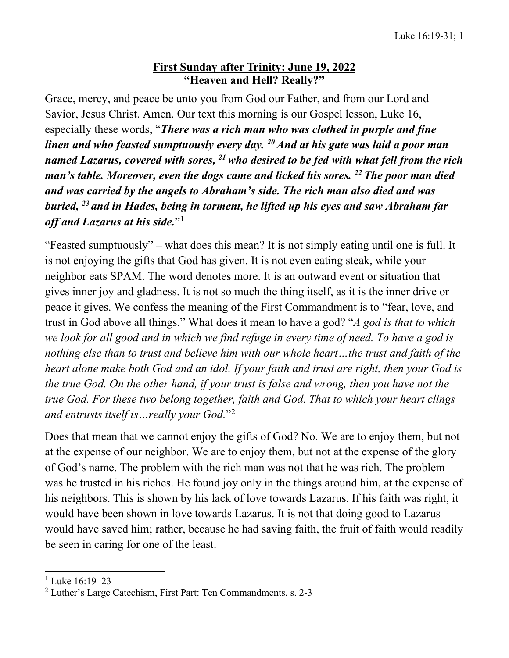## **First Sunday after Trinity: June 19, 2022 "Heaven and Hell? Really?"**

Grace, mercy, and peace be unto you from God our Father, and from our Lord and Savior, Jesus Christ. Amen. Our text this morning is our Gospel lesson, Luke 16, especially these words, "*There was a rich man who was clothed in purple and fine linen and who feasted sumptuously every day. 20And at his gate was laid a poor man named Lazarus, covered with sores, 21 who desired to be fed with what fell from the rich man's table. Moreover, even the dogs came and licked his sores. 22 The poor man died and was carried by the angels to Abraham's side. The rich man also died and was buried, 23 and in Hades, being in torment, he lifted up his eyes and saw Abraham far off and Lazarus at his side.*"[1](#page-0-0)

"Feasted sumptuously" – what does this mean? It is not simply eating until one is full. It is not enjoying the gifts that God has given. It is not even eating steak, while your neighbor eats SPAM. The word denotes more. It is an outward event or situation that gives inner joy and gladness. It is not so much the thing itself, as it is the inner drive or peace it gives. We confess the meaning of the First Commandment is to "fear, love, and trust in God above all things." What does it mean to have a god? "*A god is that to which we look for all good and in which we find refuge in every time of need. To have a god is nothing else than to trust and believe him with our whole heart…the trust and faith of the heart alone make both God and an idol. If your faith and trust are right, then your God is the true God. On the other hand, if your trust is false and wrong, then you have not the true God. For these two belong together, faith and God. That to which your heart clings and entrusts itself is…really your God.*"[2](#page-0-1)

Does that mean that we cannot enjoy the gifts of God? No. We are to enjoy them, but not at the expense of our neighbor. We are to enjoy them, but not at the expense of the glory of God's name. The problem with the rich man was not that he was rich. The problem was he trusted in his riches. He found joy only in the things around him, at the expense of his neighbors. This is shown by his lack of love towards Lazarus. If his faith was right, it would have been shown in love towards Lazarus. It is not that doing good to Lazarus would have saved him; rather, because he had saving faith, the fruit of faith would readily be seen in caring for one of the least.

<span id="page-0-0"></span> $1$  Luke 16:19–23

<span id="page-0-1"></span><sup>&</sup>lt;sup>2</sup> Luther's Large Catechism, First Part: Ten Commandments, s. 2-3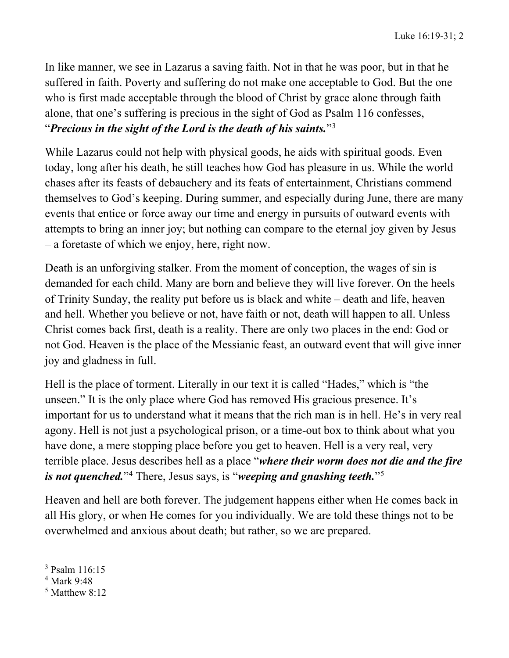In like manner, we see in Lazarus a saving faith. Not in that he was poor, but in that he suffered in faith. Poverty and suffering do not make one acceptable to God. But the one who is first made acceptable through the blood of Christ by grace alone through faith alone, that one's suffering is precious in the sight of God as Psalm 116 confesses, "*Precious in the sight of the Lord is the death of his saints.*["3](#page-1-0)

While Lazarus could not help with physical goods, he aids with spiritual goods. Even today, long after his death, he still teaches how God has pleasure in us. While the world chases after its feasts of debauchery and its feats of entertainment, Christians commend themselves to God's keeping. During summer, and especially during June, there are many events that entice or force away our time and energy in pursuits of outward events with attempts to bring an inner joy; but nothing can compare to the eternal joy given by Jesus – a foretaste of which we enjoy, here, right now.

Death is an unforgiving stalker. From the moment of conception, the wages of sin is demanded for each child. Many are born and believe they will live forever. On the heels of Trinity Sunday, the reality put before us is black and white – death and life, heaven and hell. Whether you believe or not, have faith or not, death will happen to all. Unless Christ comes back first, death is a reality. There are only two places in the end: God or not God. Heaven is the place of the Messianic feast, an outward event that will give inner joy and gladness in full.

Hell is the place of torment. Literally in our text it is called "Hades," which is "the unseen." It is the only place where God has removed His gracious presence. It's important for us to understand what it means that the rich man is in hell. He's in very real agony. Hell is not just a psychological prison, or a time-out box to think about what you have done, a mere stopping place before you get to heaven. Hell is a very real, very terrible place. Jesus describes hell as a place "*where their worm does not die and the fire is not quenched.*"[4](#page-1-1) There, Jesus says, is "*weeping and gnashing teeth.*"[5](#page-1-2)

Heaven and hell are both forever. The judgement happens either when He comes back in all His glory, or when He comes for you individually. We are told these things not to be overwhelmed and anxious about death; but rather, so we are prepared.

<span id="page-1-0"></span><sup>3</sup> Psalm 116:15

<span id="page-1-1"></span><sup>4</sup> Mark 9:48

<span id="page-1-2"></span> $<sup>5</sup>$  Matthew 8:12</sup>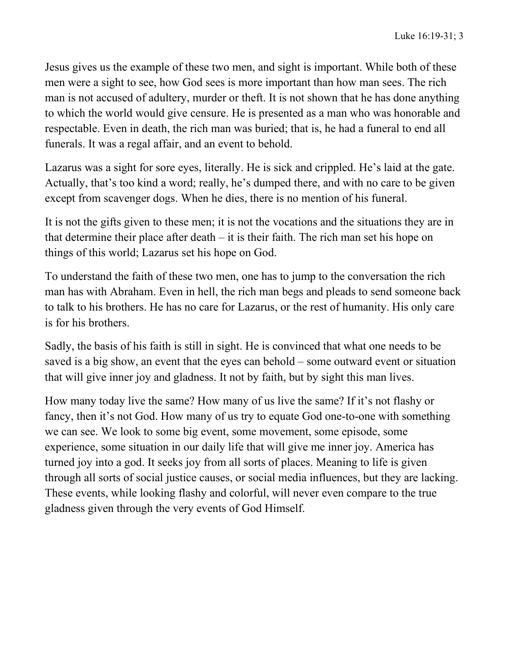Jesus gives us the example of these two men, and sight is important. While both of these men were a sight to see, how God sees is more important than how man sees. The rich man is not accused of adultery, murder or theft. It is not shown that he has done anything to which the world would give censure. He is presented as a man who was honorable and respectable. Even in death, the rich man was buried; that is, he had a funeral to end all funerals. It was a regal affair, and an event to behold.

Lazarus was a sight for sore eyes, literally. He is sick and crippled. He's laid at the gate. Actually, that's too kind a word; really, he's dumped there, and with no care to be given except from scavenger dogs. When he dies, there is no mention of his funeral.

It is not the gifts given to these men; it is not the vocations and the situations they are in that determine their place after death  $-$  it is their faith. The rich man set his hope on things of this world; Lazarus set his hope on God.

To understand the faith of these two men, one has to jump to the conversation the rich man has with Abraham. Even in hell, the rich man begs and pleads to send someone back to talk to his brothers. He has no care for Lazarus, or the rest of humanity. His only care is for his brothers.

Sadly, the basis of his faith is still in sight. He is convinced that what one needs to be saved is a big show, an event that the eyes can behold – some outward event or situation that will give inner joy and gladness. It not by faith, but by sight this man lives.

How many today live the same? How many of us live the same? If it's not flashy or fancy, then it's not God. How many of us try to equate God one-to-one with something we can see. We look to some big event, some movement, some episode, some experience, some situation in our daily life that will give me inner joy. America has turned joy into a god. It seeks joy from all sorts of places. Meaning to life is given through all sorts of social justice causes, or social media influences, but they are lacking. These events, while looking flashy and colorful, will never even compare to the true gladness given through the very events of God Himself.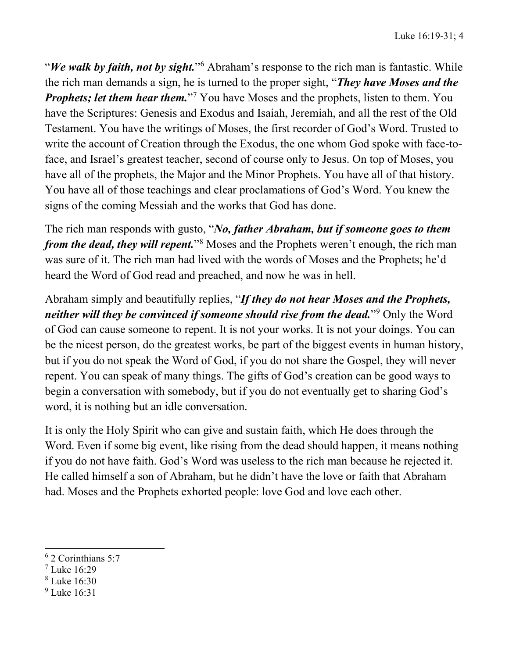"*We walk by faith, not by sight.*"[6](#page-3-0) Abraham's response to the rich man is fantastic. While the rich man demands a sign, he is turned to the proper sight, "*They have Moses and the Prophets; let them hear them.*"<sup>[7](#page-3-1)</sup> You have Moses and the prophets, listen to them. You have the Scriptures: Genesis and Exodus and Isaiah, Jeremiah, and all the rest of the Old Testament. You have the writings of Moses, the first recorder of God's Word. Trusted to write the account of Creation through the Exodus, the one whom God spoke with face-toface, and Israel's greatest teacher, second of course only to Jesus. On top of Moses, you have all of the prophets, the Major and the Minor Prophets. You have all of that history. You have all of those teachings and clear proclamations of God's Word. You knew the signs of the coming Messiah and the works that God has done.

The rich man responds with gusto, "*No, father Abraham, but if someone goes to them from the dead, they will repent.*"<sup>[8](#page-3-2)</sup> Moses and the Prophets weren't enough, the rich man was sure of it. The rich man had lived with the words of Moses and the Prophets; he'd heard the Word of God read and preached, and now he was in hell.

Abraham simply and beautifully replies, "*If they do not hear Moses and the Prophets, neither will they be convinced if someone should rise from the dead.*"<sup>[9](#page-3-3)</sup> Only the Word of God can cause someone to repent. It is not your works. It is not your doings. You can be the nicest person, do the greatest works, be part of the biggest events in human history, but if you do not speak the Word of God, if you do not share the Gospel, they will never repent. You can speak of many things. The gifts of God's creation can be good ways to begin a conversation with somebody, but if you do not eventually get to sharing God's word, it is nothing but an idle conversation.

It is only the Holy Spirit who can give and sustain faith, which He does through the Word. Even if some big event, like rising from the dead should happen, it means nothing if you do not have faith. God's Word was useless to the rich man because he rejected it. He called himself a son of Abraham, but he didn't have the love or faith that Abraham had. Moses and the Prophets exhorted people: love God and love each other.

- <span id="page-3-1"></span> $7$  Luke 16:29
- <span id="page-3-2"></span><sup>8</sup> Luke 16:30
- <span id="page-3-3"></span><sup>9</sup> Luke 16:31

<span id="page-3-0"></span><sup>6</sup> 2 Corinthians 5:7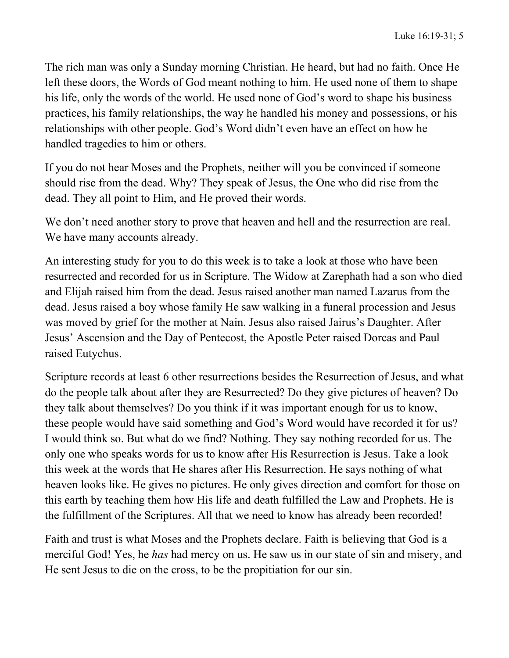The rich man was only a Sunday morning Christian. He heard, but had no faith. Once He left these doors, the Words of God meant nothing to him. He used none of them to shape his life, only the words of the world. He used none of God's word to shape his business practices, his family relationships, the way he handled his money and possessions, or his relationships with other people. God's Word didn't even have an effect on how he handled tragedies to him or others.

If you do not hear Moses and the Prophets, neither will you be convinced if someone should rise from the dead. Why? They speak of Jesus, the One who did rise from the dead. They all point to Him, and He proved their words.

We don't need another story to prove that heaven and hell and the resurrection are real. We have many accounts already.

An interesting study for you to do this week is to take a look at those who have been resurrected and recorded for us in Scripture. The Widow at Zarephath had a son who died and Elijah raised him from the dead. Jesus raised another man named Lazarus from the dead. Jesus raised a boy whose family He saw walking in a funeral procession and Jesus was moved by grief for the mother at Nain. Jesus also raised Jairus's Daughter. After Jesus' Ascension and the Day of Pentecost, the Apostle Peter raised Dorcas and Paul raised Eutychus.

Scripture records at least 6 other resurrections besides the Resurrection of Jesus, and what do the people talk about after they are Resurrected? Do they give pictures of heaven? Do they talk about themselves? Do you think if it was important enough for us to know, these people would have said something and God's Word would have recorded it for us? I would think so. But what do we find? Nothing. They say nothing recorded for us. The only one who speaks words for us to know after His Resurrection is Jesus. Take a look this week at the words that He shares after His Resurrection. He says nothing of what heaven looks like. He gives no pictures. He only gives direction and comfort for those on this earth by teaching them how His life and death fulfilled the Law and Prophets. He is the fulfillment of the Scriptures. All that we need to know has already been recorded!

Faith and trust is what Moses and the Prophets declare. Faith is believing that God is a merciful God! Yes, he *has* had mercy on us. He saw us in our state of sin and misery, and He sent Jesus to die on the cross, to be the propitiation for our sin.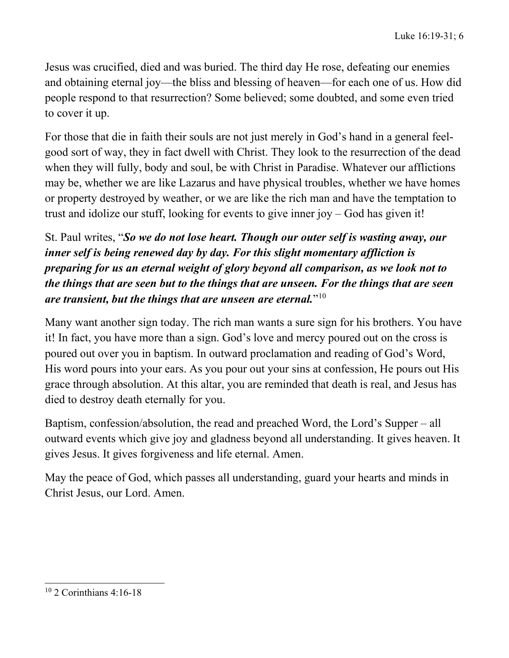Jesus was crucified, died and was buried. The third day He rose, defeating our enemies and obtaining eternal joy—the bliss and blessing of heaven—for each one of us. How did people respond to that resurrection? Some believed; some doubted, and some even tried to cover it up.

For those that die in faith their souls are not just merely in God's hand in a general feelgood sort of way, they in fact dwell with Christ. They look to the resurrection of the dead when they will fully, body and soul, be with Christ in Paradise. Whatever our afflictions may be, whether we are like Lazarus and have physical troubles, whether we have homes or property destroyed by weather, or we are like the rich man and have the temptation to trust and idolize our stuff, looking for events to give inner joy – God has given it!

## St. Paul writes, "*So we do not lose heart. Though our outer self is wasting away, our inner self is being renewed day by day. For this slight momentary affliction is preparing for us an eternal weight of glory beyond all comparison, as we look not to the things that are seen but to the things that are unseen. For the things that are seen are transient, but the things that are unseen are eternal.*"[10](#page-5-0)

Many want another sign today. The rich man wants a sure sign for his brothers. You have it! In fact, you have more than a sign. God's love and mercy poured out on the cross is poured out over you in baptism. In outward proclamation and reading of God's Word, His word pours into your ears. As you pour out your sins at confession, He pours out His grace through absolution. At this altar, you are reminded that death is real, and Jesus has died to destroy death eternally for you.

Baptism, confession/absolution, the read and preached Word, the Lord's Supper – all outward events which give joy and gladness beyond all understanding. It gives heaven. It gives Jesus. It gives forgiveness and life eternal. Amen.

May the peace of God, which passes all understanding, guard your hearts and minds in Christ Jesus, our Lord. Amen.

<span id="page-5-0"></span><sup>10</sup> 2 Corinthians 4:16-18